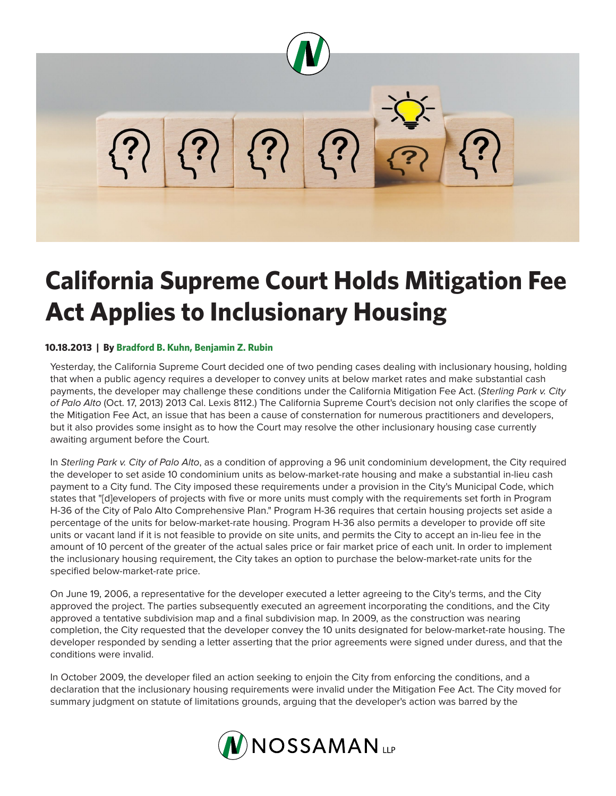

## **California Supreme Court Holds Mitigation Fee Act Applies to Inclusionary Housing**

## **10.18.2013 | By Bradford B. Kuhn, Benjamin Z. Rubin**

Yesterday, the California Supreme Court decided one of two pending cases dealing with inclusionary housing, holding that when a public agency requires a developer to convey units at below market rates and make substantial cash payments, the developer may challenge these conditions under the California Mitigation Fee Act. (*Sterling Park v. City of Palo Alto* (Oct. 17, 2013) 2013 Cal. Lexis 8112.) The California Supreme Court's decision not only clarifies the scope of the Mitigation Fee Act, an issue that has been a cause of consternation for numerous practitioners and developers, but it also provides some insight as to how the Court may resolve the other inclusionary housing case currently awaiting argument before the Court.

In *Sterling Park v. City of Palo Alto*, as a condition of approving a 96 unit condominium development, the City required the developer to set aside 10 condominium units as below-market-rate housing and make a substantial in-lieu cash payment to a City fund. The City imposed these requirements under a provision in the City's Municipal Code, which states that "[d]evelopers of projects with five or more units must comply with the requirements set forth in Program H-36 of the City of Palo Alto Comprehensive Plan." Program H-36 requires that certain housing projects set aside a percentage of the units for below-market-rate housing. Program H-36 also permits a developer to provide off site units or vacant land if it is not feasible to provide on site units, and permits the City to accept an in-lieu fee in the amount of 10 percent of the greater of the actual sales price or fair market price of each unit. In order to implement the inclusionary housing requirement, the City takes an option to purchase the below-market-rate units for the specified below-market-rate price.

On June 19, 2006, a representative for the developer executed a letter agreeing to the City's terms, and the City approved the project. The parties subsequently executed an agreement incorporating the conditions, and the City approved a tentative subdivision map and a final subdivision map. In 2009, as the construction was nearing completion, the City requested that the developer convey the 10 units designated for below-market-rate housing. The developer responded by sending a letter asserting that the prior agreements were signed under duress, and that the conditions were invalid.

In October 2009, the developer filed an action seeking to enjoin the City from enforcing the conditions, and a declaration that the inclusionary housing requirements were invalid under the Mitigation Fee Act. The City moved for summary judgment on statute of limitations grounds, arguing that the developer's action was barred by the

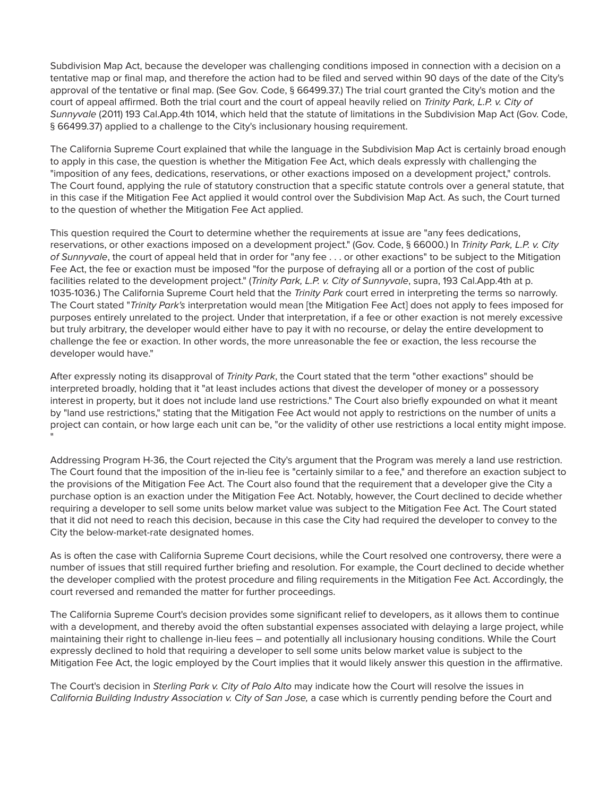Subdivision Map Act, because the developer was challenging conditions imposed in connection with a decision on a tentative map or final map, and therefore the action had to be filed and served within 90 days of the date of the City's approval of the tentative or final map. (See Gov. Code, § 66499.37.) The trial court granted the City's motion and the court of appeal affirmed. Both the trial court and the court of appeal heavily relied on *Trinity Park, L.P. v. City of Sunnyvale* (2011) 193 Cal.App.4th 1014, which held that the statute of limitations in the Subdivision Map Act (Gov. Code, § 66499.37) applied to a challenge to the City's inclusionary housing requirement.

The California Supreme Court explained that while the language in the Subdivision Map Act is certainly broad enough to apply in this case, the question is whether the Mitigation Fee Act, which deals expressly with challenging the "imposition of any fees, dedications, reservations, or other exactions imposed on a development project," controls. The Court found, applying the rule of statutory construction that a specific statute controls over a general statute, that in this case if the Mitigation Fee Act applied it would control over the Subdivision Map Act. As such, the Court turned to the question of whether the Mitigation Fee Act applied.

This question required the Court to determine whether the requirements at issue are "any fees dedications, reservations, or other exactions imposed on a development project." (Gov. Code, § 66000.) In *Trinity Park, L.P. v. City of Sunnyvale*, the court of appeal held that in order for "any fee . . . or other exactions" to be subject to the Mitigation Fee Act, the fee or exaction must be imposed "for the purpose of defraying all or a portion of the cost of public facilities related to the development project." (*Trinity Park, L.P. v. City of Sunnyvale*, supra, 193 Cal.App.4th at p. 1035-1036.) The California Supreme Court held that the *Trinity Park* court erred in interpreting the terms so narrowly. The Court stated "*Trinity Park's* interpretation would mean [the Mitigation Fee Act] does not apply to fees imposed for purposes entirely unrelated to the project. Under that interpretation, if a fee or other exaction is not merely excessive but truly arbitrary, the developer would either have to pay it with no recourse, or delay the entire development to challenge the fee or exaction. In other words, the more unreasonable the fee or exaction, the less recourse the developer would have."

After expressly noting its disapproval of *Trinity Park*, the Court stated that the term "other exactions" should be interpreted broadly, holding that it "at least includes actions that divest the developer of money or a possessory interest in property, but it does not include land use restrictions." The Court also briefly expounded on what it meant by "land use restrictions," stating that the Mitigation Fee Act would not apply to restrictions on the number of units a project can contain, or how large each unit can be, "or the validity of other use restrictions a local entity might impose. "

Addressing Program H-36, the Court rejected the City's argument that the Program was merely a land use restriction. The Court found that the imposition of the in-lieu fee is "certainly similar to a fee," and therefore an exaction subject to the provisions of the Mitigation Fee Act. The Court also found that the requirement that a developer give the City a purchase option is an exaction under the Mitigation Fee Act. Notably, however, the Court declined to decide whether requiring a developer to sell some units below market value was subject to the Mitigation Fee Act. The Court stated that it did not need to reach this decision, because in this case the City had required the developer to convey to the City the below-market-rate designated homes.

As is often the case with California Supreme Court decisions, while the Court resolved one controversy, there were a number of issues that still required further briefing and resolution. For example, the Court declined to decide whether the developer complied with the protest procedure and filing requirements in the Mitigation Fee Act. Accordingly, the court reversed and remanded the matter for further proceedings.

The California Supreme Court's decision provides some significant relief to developers, as it allows them to continue with a development, and thereby avoid the often substantial expenses associated with delaying a large project, while maintaining their right to challenge in-lieu fees – and potentially all inclusionary housing conditions. While the Court expressly declined to hold that requiring a developer to sell some units below market value is subject to the Mitigation Fee Act, the logic employed by the Court implies that it would likely answer this question in the affirmative.

The Court's decision in *Sterling Park v. City of Palo Alto* may indicate how the Court will resolve the issues in *California Building Industry Association v. City of San Jose,* a case which is currently pending before the Court and